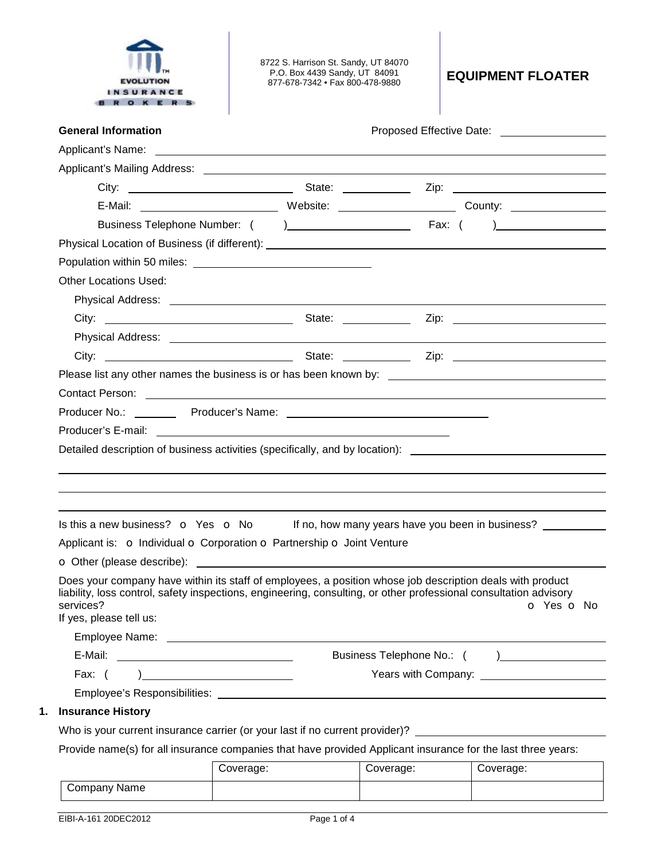

8722 S. Harrison St. Sandy, UT 84070 P.O. Box 4439 Sandy, UT 84091 877-678-7342 • Fax 800-478-9880 **EQUIPMENT FLOATER**

| <b>General Information</b>                                             | Proposed Effective Date: 2000 2012 2022 2023                                                                                                                                                                                                               |
|------------------------------------------------------------------------|------------------------------------------------------------------------------------------------------------------------------------------------------------------------------------------------------------------------------------------------------------|
|                                                                        |                                                                                                                                                                                                                                                            |
|                                                                        |                                                                                                                                                                                                                                                            |
|                                                                        |                                                                                                                                                                                                                                                            |
|                                                                        |                                                                                                                                                                                                                                                            |
|                                                                        |                                                                                                                                                                                                                                                            |
|                                                                        |                                                                                                                                                                                                                                                            |
|                                                                        |                                                                                                                                                                                                                                                            |
| <b>Other Locations Used:</b>                                           |                                                                                                                                                                                                                                                            |
|                                                                        |                                                                                                                                                                                                                                                            |
|                                                                        |                                                                                                                                                                                                                                                            |
|                                                                        |                                                                                                                                                                                                                                                            |
|                                                                        |                                                                                                                                                                                                                                                            |
|                                                                        |                                                                                                                                                                                                                                                            |
| Contact Person: <u>Contact Person:</u> Contact Person:                 |                                                                                                                                                                                                                                                            |
|                                                                        |                                                                                                                                                                                                                                                            |
|                                                                        | Detailed description of business activities (specifically, and by location): ________________________________                                                                                                                                              |
|                                                                        |                                                                                                                                                                                                                                                            |
|                                                                        |                                                                                                                                                                                                                                                            |
|                                                                        |                                                                                                                                                                                                                                                            |
| Applicant is: o Individual o Corporation o Partnership o Joint Venture | Is this a new business? $\bullet$ Yes $\bullet$ No If no, how many years have you been in business?                                                                                                                                                        |
| services?<br>If yes, please tell us:                                   | Does your company have within its staff of employees, a position whose job description deals with product<br>liability, loss control, safety inspections, engineering, consulting, or other professional consultation advisory<br><b>O</b> Yes <b>O</b> No |
|                                                                        |                                                                                                                                                                                                                                                            |
| E-Mail:                                                                | Business Telephone No.: (<br>) and the contract of $\overline{\phantom{a}}$                                                                                                                                                                                |
| Fax: $($                                                               |                                                                                                                                                                                                                                                            |
| Employee's Responsibilities:                                           |                                                                                                                                                                                                                                                            |
| <b>Insurance History</b>                                               | Who is your current insurance carrier (or your last if no current provider)?                                                                                                                                                                               |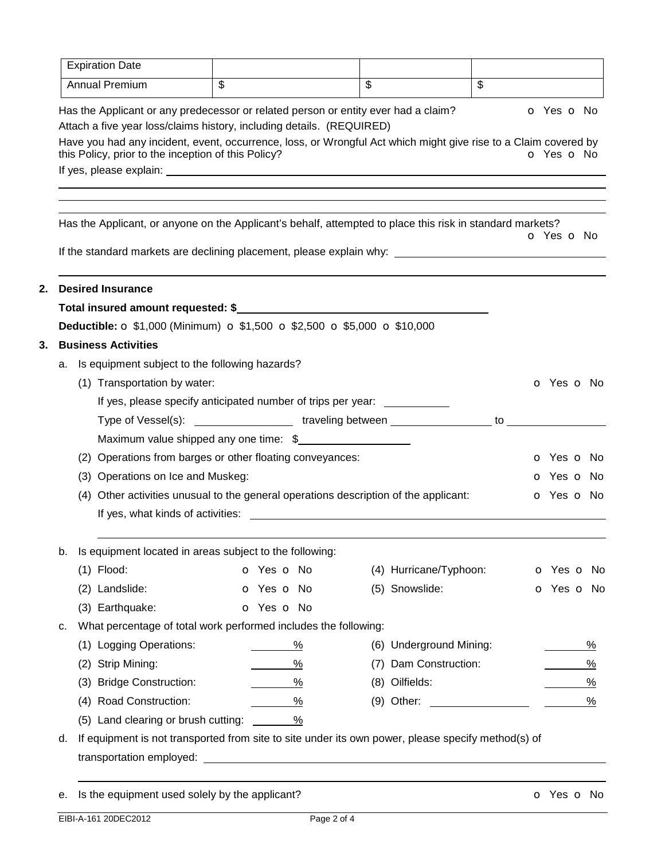|    | <b>Expiration Date</b>                                                                                                                                                                                                                                                                                                                |                                                                                                                                                                                                                                     |               |                          |                         |                          |                          |
|----|---------------------------------------------------------------------------------------------------------------------------------------------------------------------------------------------------------------------------------------------------------------------------------------------------------------------------------------|-------------------------------------------------------------------------------------------------------------------------------------------------------------------------------------------------------------------------------------|---------------|--------------------------|-------------------------|--------------------------|--------------------------|
|    | Annual Premium                                                                                                                                                                                                                                                                                                                        | $\overline{\mathcal{S}}$                                                                                                                                                                                                            |               | $\overline{\mathcal{S}}$ |                         | $\overline{\mathcal{E}}$ |                          |
|    | Has the Applicant or any predecessor or related person or entity ever had a claim?<br>Attach a five year loss/claims history, including details. (REQUIRED)<br>Have you had any incident, event, occurrence, loss, or Wrongful Act which might give rise to a Claim covered by<br>this Policy, prior to the inception of this Policy? |                                                                                                                                                                                                                                     |               |                          |                         |                          | o Yes o No<br>o Yes o No |
|    | Has the Applicant, or anyone on the Applicant's behalf, attempted to place this risk in standard markets?                                                                                                                                                                                                                             |                                                                                                                                                                                                                                     |               |                          |                         |                          | o Yes o No               |
|    | If the standard markets are declining placement, please explain why: _______________________________                                                                                                                                                                                                                                  |                                                                                                                                                                                                                                     |               |                          |                         |                          |                          |
|    | <b>Desired Insurance</b>                                                                                                                                                                                                                                                                                                              |                                                                                                                                                                                                                                     |               |                          |                         |                          |                          |
|    | Total insured amount requested: \$                                                                                                                                                                                                                                                                                                    |                                                                                                                                                                                                                                     |               |                          |                         |                          |                          |
|    | <b>Deductible: O \$1,000 (Minimum) O \$1,500 O \$2,500 O \$5,000 O \$10,000</b>                                                                                                                                                                                                                                                       |                                                                                                                                                                                                                                     |               |                          |                         |                          |                          |
|    | <b>Business Activities</b>                                                                                                                                                                                                                                                                                                            |                                                                                                                                                                                                                                     |               |                          |                         |                          |                          |
| а. | Is equipment subject to the following hazards?                                                                                                                                                                                                                                                                                        |                                                                                                                                                                                                                                     |               |                          |                         |                          |                          |
|    | (1) Transportation by water:                                                                                                                                                                                                                                                                                                          |                                                                                                                                                                                                                                     |               |                          |                         |                          | O Yes O No               |
|    |                                                                                                                                                                                                                                                                                                                                       | If yes, please specify anticipated number of trips per year:                                                                                                                                                                        |               |                          |                         |                          |                          |
|    |                                                                                                                                                                                                                                                                                                                                       | Type of Vessel(s): ____________________traveling between __________________to _________                                                                                                                                             |               |                          |                         |                          |                          |
|    |                                                                                                                                                                                                                                                                                                                                       | Maximum value shipped any one time: \$                                                                                                                                                                                              |               |                          |                         |                          |                          |
|    | (2) Operations from barges or other floating conveyances:                                                                                                                                                                                                                                                                             |                                                                                                                                                                                                                                     |               |                          |                         |                          | o Yes o No               |
|    | (3) Operations on Ice and Muskeg:                                                                                                                                                                                                                                                                                                     |                                                                                                                                                                                                                                     |               |                          |                         |                          | o Yes o No               |
|    | (4) Other activities unusual to the general operations description of the applicant:                                                                                                                                                                                                                                                  | If yes, what kinds of activities: <u>experience</u> and the set of the set of the set of the set of the set of the set of the set of the set of the set of the set of the set of the set of the set of the set of the set of the se |               |                          |                         |                          | o Yes o No               |
| b. | Is equipment located in areas subject to the following:                                                                                                                                                                                                                                                                               |                                                                                                                                                                                                                                     |               |                          |                         |                          |                          |
|    | $(1)$ Flood:                                                                                                                                                                                                                                                                                                                          | o Yes o No                                                                                                                                                                                                                          |               |                          | (4) Hurricane/Typhoon:  |                          | o Yes o No               |
|    | (2) Landslide:                                                                                                                                                                                                                                                                                                                        | o Yes o No                                                                                                                                                                                                                          |               |                          | (5) Snowslide:          |                          | o Yes o No               |
|    | (3) Earthquake:                                                                                                                                                                                                                                                                                                                       | o Yes o No                                                                                                                                                                                                                          |               |                          |                         |                          |                          |
| c. | What percentage of total work performed includes the following:                                                                                                                                                                                                                                                                       |                                                                                                                                                                                                                                     |               |                          |                         |                          |                          |
|    | (1) Logging Operations:                                                                                                                                                                                                                                                                                                               |                                                                                                                                                                                                                                     | %             |                          | (6) Underground Mining: |                          | $\frac{0}{0}$            |
|    | (2) Strip Mining:                                                                                                                                                                                                                                                                                                                     |                                                                                                                                                                                                                                     | %             | (7)                      | Dam Construction:       |                          | $\frac{9}{6}$            |
|    | <b>Bridge Construction:</b><br>(3)                                                                                                                                                                                                                                                                                                    |                                                                                                                                                                                                                                     | $\frac{9}{6}$ |                          | (8) Oilfields:          |                          | $\frac{9}{6}$            |
|    | (4) Road Construction:                                                                                                                                                                                                                                                                                                                |                                                                                                                                                                                                                                     | $\%$          |                          |                         |                          | $\%$                     |
|    | (5) Land clearing or brush cutting:                                                                                                                                                                                                                                                                                                   | $\sim$ %                                                                                                                                                                                                                            |               |                          |                         |                          |                          |

e. Is the equipment used solely by the applicant? example the solution of Yes o No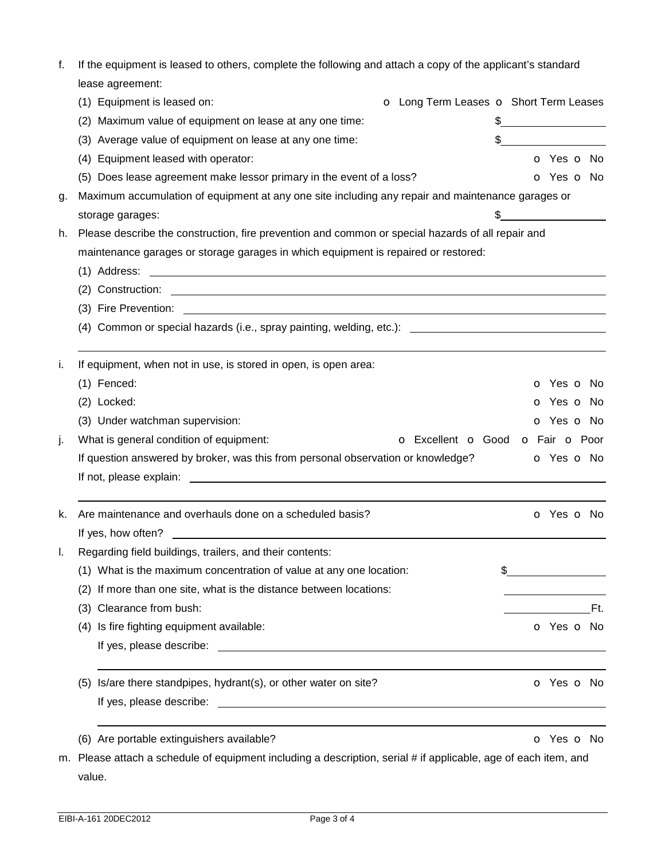| f. |                  | If the equipment is leased to others, complete the following and attach a copy of the applicant's standard      |                                        |    |                          |  |  |  |
|----|------------------|-----------------------------------------------------------------------------------------------------------------|----------------------------------------|----|--------------------------|--|--|--|
|    |                  | lease agreement:                                                                                                |                                        |    |                          |  |  |  |
|    |                  | (1) Equipment is leased on:                                                                                     | O Long Term Leases O Short Term Leases |    |                          |  |  |  |
|    | (2)              | Maximum value of equipment on lease at any one time:                                                            |                                        |    |                          |  |  |  |
|    | (3)              | Average value of equipment on lease at any one time:                                                            |                                        |    |                          |  |  |  |
|    | (4)              | Equipment leased with operator:                                                                                 |                                        |    | o Yes o No               |  |  |  |
|    |                  | (5) Does lease agreement make lessor primary in the event of a loss?                                            |                                        |    | O Yes O No               |  |  |  |
| g. |                  | Maximum accumulation of equipment at any one site including any repair and maintenance garages or               |                                        |    |                          |  |  |  |
|    | storage garages: |                                                                                                                 |                                        |    |                          |  |  |  |
| h. |                  | Please describe the construction, fire prevention and common or special hazards of all repair and               |                                        |    |                          |  |  |  |
|    |                  | maintenance garages or storage garages in which equipment is repaired or restored:                              |                                        |    |                          |  |  |  |
|    | (1) Address:     |                                                                                                                 |                                        |    |                          |  |  |  |
|    |                  |                                                                                                                 |                                        |    |                          |  |  |  |
|    |                  | (3) Fire Prevention:<br><u> 1989 - Johann Harry Communication (f. 1989)</u>                                     |                                        |    |                          |  |  |  |
|    |                  | (4) Common or special hazards (i.e., spray painting, welding, etc.): _______________________________            |                                        |    |                          |  |  |  |
| i. |                  | If equipment, when not in use, is stored in open, is open area:                                                 |                                        |    |                          |  |  |  |
|    | (1) Fenced:      |                                                                                                                 |                                        |    | <b>o</b> Yes <b>o</b> No |  |  |  |
|    | (2) Locked:      |                                                                                                                 |                                        |    | o Yes o No               |  |  |  |
|    |                  | (3) Under watchman supervision:                                                                                 |                                        |    | o Yes o No               |  |  |  |
| j. |                  | What is general condition of equipment:                                                                         | o Excellent o Good o Fair o Poor       |    |                          |  |  |  |
|    |                  | If question answered by broker, was this from personal observation or knowledge?                                |                                        |    | o Yes o No               |  |  |  |
|    |                  |                                                                                                                 |                                        |    |                          |  |  |  |
| k. |                  | Are maintenance and overhauls done on a scheduled basis?                                                        |                                        |    | O Yes O No               |  |  |  |
|    |                  | If yes, how often?                                                                                              |                                        |    |                          |  |  |  |
| I. |                  | Regarding field buildings, trailers, and their contents:                                                        |                                        |    |                          |  |  |  |
|    |                  | (1) What is the maximum concentration of value at any one location:                                             |                                        | \$ |                          |  |  |  |
|    | (2)              | If more than one site, what is the distance between locations:                                                  |                                        |    |                          |  |  |  |
|    | (3)              | Clearance from bush:                                                                                            |                                        |    | Ft.                      |  |  |  |
|    | (4)              | Is fire fighting equipment available:                                                                           |                                        |    | o Yes o No               |  |  |  |
|    |                  |                                                                                                                 |                                        |    |                          |  |  |  |
|    | (5)              | Is/are there standpipes, hydrant(s), or other water on site?                                                    |                                        |    | <b>o</b> Yes <b>o</b> No |  |  |  |
|    |                  |                                                                                                                 |                                        |    |                          |  |  |  |
|    |                  | (6) Are portable extinguishers available?                                                                       |                                        |    | o Yes o No               |  |  |  |
|    |                  | m. Please attach a schedule of equipment including a description, serial # if applicable, age of each item, and |                                        |    |                          |  |  |  |

| value. | ___ | __ | ___ | __ |
|--------|-----|----|-----|----|
|        |     |    |     |    |